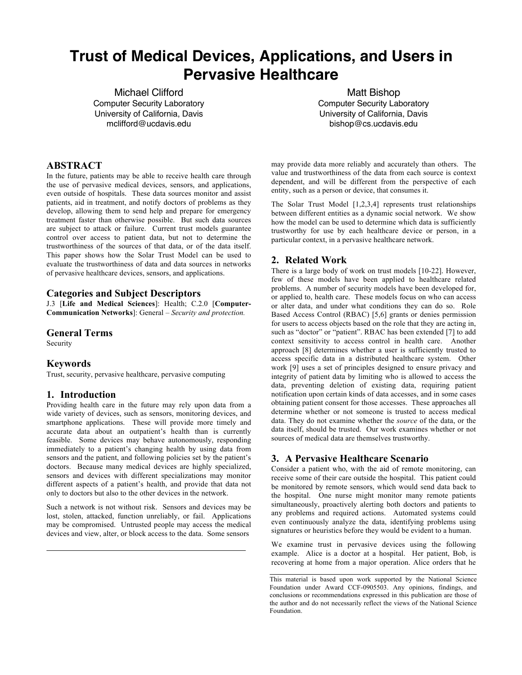# **Trust of Medical Devices, Applications, and Users in Pervasive Healthcare**

Michael Clifford Computer Security Laboratory University of California, Davis mclifford@ucdavis.edu

## **ABSTRACT**

In the future, patients may be able to receive health care through the use of pervasive medical devices, sensors, and applications, even outside of hospitals. These data sources monitor and assist patients, aid in treatment, and notify doctors of problems as they develop, allowing them to send help and prepare for emergency treatment faster than otherwise possible. But such data sources are subject to attack or failure. Current trust models guarantee control over access to patient data, but not to determine the trustworthiness of the sources of that data, or of the data itself. This paper shows how the Solar Trust Model can be used to evaluate the trustworthiness of data and data sources in networks of pervasive healthcare devices, sensors, and applications.

## **Categories and Subject Descriptors**

J.3 [**Life and Medical Sciences**]: Health; C.2.0 [**Computer-Communication Networks**]: General – *Security and protection.*

## **General Terms**

Security

## **Keywords**

Trust, security, pervasive healthcare, pervasive computing

## **1. Introduction**

Providing health care in the future may rely upon data from a wide variety of devices, such as sensors, monitoring devices, and smartphone applications. These will provide more timely and accurate data about an outpatient's health than is currently feasible. Some devices may behave autonomously, responding immediately to a patient's changing health by using data from sensors and the patient, and following policies set by the patient's doctors. Because many medical devices are highly specialized, sensors and devices with different specializations may monitor different aspects of a patient's health, and provide that data not only to doctors but also to the other devices in the network.

Such a network is not without risk. Sensors and devices may be lost, stolen, attacked, function unreliably, or fail. Applications may be compromised. Untrusted people may access the medical devices and view, alter, or block access to the data. Some sensors

Matt Bishop Computer Security Laboratory University of California, Davis bishop@cs.ucdavis.edu

may provide data more reliably and accurately than others. The value and trustworthiness of the data from each source is context dependent, and will be different from the perspective of each entity, such as a person or device, that consumes it.

The Solar Trust Model [1,2,3,4] represents trust relationships between different entities as a dynamic social network. We show how the model can be used to determine which data is sufficiently trustworthy for use by each healthcare device or person, in a particular context, in a pervasive healthcare network.

## **2. Related Work**

There is a large body of work on trust models [10-22]. However, few of these models have been applied to healthcare related problems. A number of security models have been developed for, or applied to, health care. These models focus on who can access or alter data, and under what conditions they can do so. Role Based Access Control (RBAC) [5,6] grants or denies permission for users to access objects based on the role that they are acting in, such as "doctor" or "patient". RBAC has been extended [7] to add context sensitivity to access control in health care. Another approach [8] determines whether a user is sufficiently trusted to access specific data in a distributed healthcare system. Other work [9] uses a set of principles designed to ensure privacy and integrity of patient data by limiting who is allowed to access the data, preventing deletion of existing data, requiring patient notification upon certain kinds of data accesses, and in some cases obtaining patient consent for those accesses. These approaches all determine whether or not someone is trusted to access medical data. They do not examine whether the *source* of the data, or the data itself, should be trusted. Our work examines whether or not sources of medical data are themselves trustworthy.

## **3. A Pervasive Healthcare Scenario**

Consider a patient who, with the aid of remote monitoring, can receive some of their care outside the hospital. This patient could be monitored by remote sensors, which would send data back to the hospital. One nurse might monitor many remote patients simultaneously, proactively alerting both doctors and patients to any problems and required actions. Automated systems could even continuously analyze the data, identifying problems using signatures or heuristics before they would be evident to a human.

We examine trust in pervasive devices using the following example. Alice is a doctor at a hospital. Her patient, Bob, is recovering at home from a major operation. Alice orders that he

This material is based upon work supported by the National Science Foundation under Award CCF-0905503. Any opinions, findings, and conclusions or recommendations expressed in this publication are those of the author and do not necessarily reflect the views of the National Science Foundation.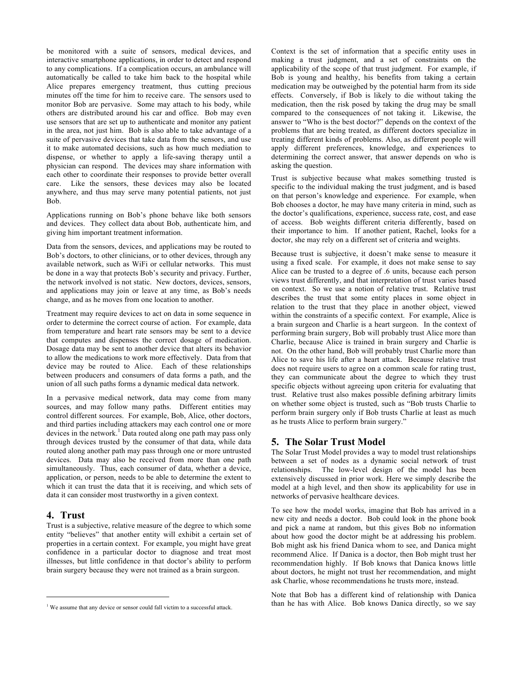be monitored with a suite of sensors, medical devices, and interactive smartphone applications, in order to detect and respond to any complications. If a complication occurs, an ambulance will automatically be called to take him back to the hospital while Alice prepares emergency treatment, thus cutting precious minutes off the time for him to receive care. The sensors used to monitor Bob are pervasive. Some may attach to his body, while others are distributed around his car and office. Bob may even use sensors that are set up to authenticate and monitor any patient in the area, not just him. Bob is also able to take advantage of a suite of pervasive devices that take data from the sensors, and use it to make automated decisions, such as how much mediation to dispense, or whether to apply a life-saving therapy until a physician can respond. The devices may share information with each other to coordinate their responses to provide better overall care. Like the sensors, these devices may also be located anywhere, and thus may serve many potential patients, not just Bob.

Applications running on Bob's phone behave like both sensors and devices. They collect data about Bob, authenticate him, and giving him important treatment information.

Data from the sensors, devices, and applications may be routed to Bob's doctors, to other clinicians, or to other devices, through any available network, such as WiFi or cellular networks. This must be done in a way that protects Bob's security and privacy. Further, the network involved is not static. New doctors, devices, sensors, and applications may join or leave at any time, as Bob's needs change, and as he moves from one location to another.

Treatment may require devices to act on data in some sequence in order to determine the correct course of action. For example, data from temperature and heart rate sensors may be sent to a device that computes and dispenses the correct dosage of medication. Dosage data may be sent to another device that alters its behavior to allow the medications to work more effectively. Data from that device may be routed to Alice. Each of these relationships between producers and consumers of data forms a path, and the union of all such paths forms a dynamic medical data network.

In a pervasive medical network, data may come from many sources, and may follow many paths. Different entities may control different sources. For example, Bob, Alice, other doctors, and third parties including attackers may each control one or more devices in the network.<sup>1</sup> Data routed along one path may pass only through devices trusted by the consumer of that data, while data routed along another path may pass through one or more untrusted devices. Data may also be received from more than one path simultaneously. Thus, each consumer of data, whether a device, application, or person, needs to be able to determine the extent to which it can trust the data that it is receiving, and which sets of data it can consider most trustworthy in a given context.

## **4. Trust**

1

Trust is a subjective, relative measure of the degree to which some entity "believes" that another entity will exhibit a certain set of properties in a certain context. For example, you might have great confidence in a particular doctor to diagnose and treat most illnesses, but little confidence in that doctor's ability to perform brain surgery because they were not trained as a brain surgeon.

Context is the set of information that a specific entity uses in making a trust judgment, and a set of constraints on the applicability of the scope of that trust judgment. For example, if Bob is young and healthy, his benefits from taking a certain medication may be outweighed by the potential harm from its side effects. Conversely, if Bob is likely to die without taking the medication, then the risk posed by taking the drug may be small compared to the consequences of not taking it. Likewise, the answer to "Who is the best doctor?" depends on the context of the problems that are being treated, as different doctors specialize in treating different kinds of problems. Also, as different people will apply different preferences, knowledge, and experiences to determining the correct answer, that answer depends on who is asking the question.

Trust is subjective because what makes something trusted is specific to the individual making the trust judgment, and is based on that person's knowledge and experience. For example, when Bob chooses a doctor, he may have many criteria in mind, such as the doctor's qualifications, experience, success rate, cost, and ease of access. Bob weights different criteria differently, based on their importance to him. If another patient, Rachel, looks for a doctor, she may rely on a different set of criteria and weights.

Because trust is subjective, it doesn't make sense to measure it using a fixed scale. For example, it does not make sense to say Alice can be trusted to a degree of .6 units, because each person views trust differently, and that interpretation of trust varies based on context. So we use a notion of relative trust. Relative trust describes the trust that some entity places in some object in relation to the trust that they place in another object, viewed within the constraints of a specific context. For example, Alice is a brain surgeon and Charlie is a heart surgeon. In the context of performing brain surgery, Bob will probably trust Alice more than Charlie, because Alice is trained in brain surgery and Charlie is not. On the other hand, Bob will probably trust Charlie more than Alice to save his life after a heart attack. Because relative trust does not require users to agree on a common scale for rating trust, they can communicate about the degree to which they trust specific objects without agreeing upon criteria for evaluating that trust. Relative trust also makes possible defining arbitrary limits on whether some object is trusted, such as "Bob trusts Charlie to perform brain surgery only if Bob trusts Charlie at least as much as he trusts Alice to perform brain surgery."

## **5. The Solar Trust Model**

The Solar Trust Model provides a way to model trust relationships between a set of nodes as a dynamic social network of trust relationships. The low-level design of the model has been extensively discussed in prior work. Here we simply describe the model at a high level, and then show its applicability for use in networks of pervasive healthcare devices.

To see how the model works, imagine that Bob has arrived in a new city and needs a doctor. Bob could look in the phone book and pick a name at random, but this gives Bob no information about how good the doctor might be at addressing his problem. Bob might ask his friend Danica whom to see, and Danica might recommend Alice. If Danica is a doctor, then Bob might trust her recommendation highly. If Bob knows that Danica knows little about doctors, he might not trust her recommendation, and might ask Charlie, whose recommendations he trusts more, instead.

Note that Bob has a different kind of relationship with Danica than he has with Alice. Bob knows Danica directly, so we say

<sup>&</sup>lt;sup>1</sup> We assume that any device or sensor could fall victim to a successful attack.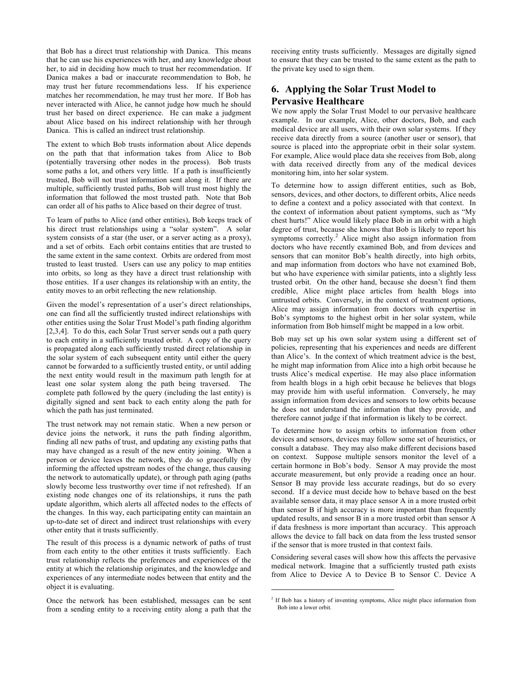that Bob has a direct trust relationship with Danica. This means that he can use his experiences with her, and any knowledge about her, to aid in deciding how much to trust her recommendation. If Danica makes a bad or inaccurate recommendation to Bob, he may trust her future recommendations less. If his experience matches her recommendation, he may trust her more. If Bob has never interacted with Alice, he cannot judge how much he should trust her based on direct experience. He can make a judgment about Alice based on his indirect relationship with her through Danica. This is called an indirect trust relationship.

The extent to which Bob trusts information about Alice depends on the path that that information takes from Alice to Bob (potentially traversing other nodes in the process). Bob trusts some paths a lot, and others very little. If a path is insufficiently trusted, Bob will not trust information sent along it. If there are multiple, sufficiently trusted paths, Bob will trust most highly the information that followed the most trusted path. Note that Bob can order all of his paths to Alice based on their degree of trust.

To learn of paths to Alice (and other entities), Bob keeps track of his direct trust relationships using a "solar system". A solar system consists of a star (the user, or a server acting as a proxy), and a set of orbits. Each orbit contains entities that are trusted to the same extent in the same context. Orbits are ordered from most trusted to least trusted. Users can use any policy to map entities into orbits, so long as they have a direct trust relationship with those entities. If a user changes its relationship with an entity, the entity moves to an orbit reflecting the new relationship.

Given the model's representation of a user's direct relationships, one can find all the sufficiently trusted indirect relationships with other entities using the Solar Trust Model's path finding algorithm [2,3,4]. To do this, each Solar Trust server sends out a path query to each entity in a sufficiently trusted orbit. A copy of the query is propagated along each sufficiently trusted direct relationship in the solar system of each subsequent entity until either the query cannot be forwarded to a sufficiently trusted entity, or until adding the next entity would result in the maximum path length for at least one solar system along the path being traversed. The complete path followed by the query (including the last entity) is digitally signed and sent back to each entity along the path for which the path has just terminated.

The trust network may not remain static. When a new person or device joins the network, it runs the path finding algorithm, finding all new paths of trust, and updating any existing paths that may have changed as a result of the new entity joining. When a person or device leaves the network, they do so gracefully (by informing the affected upstream nodes of the change, thus causing the network to automatically update), or through path aging (paths slowly become less trustworthy over time if not refreshed). If an existing node changes one of its relationships, it runs the path update algorithm, which alerts all affected nodes to the effects of the changes. In this way, each participating entity can maintain an up-to-date set of direct and indirect trust relationships with every other entity that it trusts sufficiently.

The result of this process is a dynamic network of paths of trust from each entity to the other entities it trusts sufficiently. Each trust relationship reflects the preferences and experiences of the entity at which the relationship originates, and the knowledge and experiences of any intermediate nodes between that entity and the object it is evaluating.

Once the network has been established, messages can be sent from a sending entity to a receiving entity along a path that the receiving entity trusts sufficiently. Messages are digitally signed to ensure that they can be trusted to the same extent as the path to the private key used to sign them.

# **6. Applying the Solar Trust Model to Pervasive Healthcare**

We now apply the Solar Trust Model to our pervasive healthcare example. In our example, Alice, other doctors, Bob, and each medical device are all users, with their own solar systems. If they receive data directly from a source (another user or sensor), that source is placed into the appropriate orbit in their solar system. For example, Alice would place data she receives from Bob, along with data received directly from any of the medical devices monitoring him, into her solar system.

To determine how to assign different entities, such as Bob, sensors, devices, and other doctors, to different orbits, Alice needs to define a context and a policy associated with that context. In the context of information about patient symptoms, such as "My chest hurts!" Alice would likely place Bob in an orbit with a high degree of trust, because she knows that Bob is likely to report his symptoms correctly.<sup>2</sup> Alice might also assign information from doctors who have recently examined Bob, and from devices and sensors that can monitor Bob's health directly, into high orbits, and map information from doctors who have not examined Bob, but who have experience with similar patients, into a slightly less trusted orbit. On the other hand, because she doesn't find them credible, Alice might place articles from health blogs into untrusted orbits. Conversely, in the context of treatment options, Alice may assign information from doctors with expertise in Bob's symptoms to the highest orbit in her solar system, while information from Bob himself might be mapped in a low orbit.

Bob may set up his own solar system using a different set of policies, representing that his experiences and needs are different than Alice's. In the context of which treatment advice is the best, he might map information from Alice into a high orbit because he trusts Alice's medical expertise. He may also place information from health blogs in a high orbit because he believes that blogs may provide him with useful information. Conversely, he may assign information from devices and sensors to low orbits because he does not understand the information that they provide, and therefore cannot judge if that information is likely to be correct.

To determine how to assign orbits to information from other devices and sensors, devices may follow some set of heuristics, or consult a database. They may also make different decisions based on context. Suppose multiple sensors monitor the level of a certain hormone in Bob's body. Sensor A may provide the most accurate measurement, but only provide a reading once an hour. Sensor B may provide less accurate readings, but do so every second. If a device must decide how to behave based on the best available sensor data, it may place sensor A in a more trusted orbit than sensor B if high accuracy is more important than frequently updated results, and sensor B in a more trusted orbit than sensor A if data freshness is more important than accuracy. This approach allows the device to fall back on data from the less trusted sensor if the sensor that is more trusted in that context fails.

Considering several cases will show how this affects the pervasive medical network. Imagine that a sufficiently trusted path exists from Alice to Device A to Device B to Sensor C. Device A

j

<sup>&</sup>lt;sup>2</sup> If Bob has a history of inventing symptoms, Alice might place information from Bob into a lower orbit.